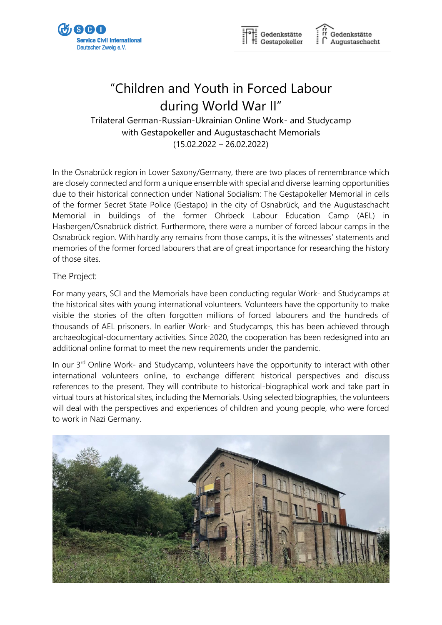



Gedenkstätte Augustaschacht

# "Children and Youth in Forced Labour during World War II"

Trilateral German-Russian-Ukrainian Online Work- and Studycamp with Gestapokeller and Augustaschacht Memorials (15.02.2022 – 26.02.2022)

In the Osnabrück region in Lower Saxony/Germany, there are two places of remembrance which are closely connected and form a unique ensemble with special and diverse learning opportunities due to their historical connection under National Socialism: The Gestapokeller Memorial in cells of the former Secret State Police (Gestapo) in the city of Osnabrück, and the Augustaschacht Memorial in buildings of the former Ohrbeck Labour Education Camp (AEL) in Hasbergen/Osnabrück district. Furthermore, there were a number of forced labour camps in the Osnabrück region. With hardly any remains from those camps, it is the witnesses' statements and memories of the former forced labourers that are of great importance for researching the history of those sites.

### The Project:

For many years, SCI and the Memorials have been conducting regular Work- and Studycamps at the historical sites with young international volunteers. Volunteers have the opportunity to make visible the stories of the often forgotten millions of forced labourers and the hundreds of thousands of AEL prisoners. In earlier Work- and Studycamps, this has been achieved through archaeological-documentary activities. Since 2020, the cooperation has been redesigned into an additional online format to meet the new requirements under the pandemic.

In our 3<sup>rd</sup> Online Work- and Studycamp, volunteers have the opportunity to interact with other international volunteers online, to exchange different historical perspectives and discuss references to the present. They will contribute to historical-biographical work and take part in virtual tours at historical sites, including the Memorials. Using selected biographies, the volunteers will deal with the perspectives and experiences of children and young people, who were forced to work in Nazi Germany.

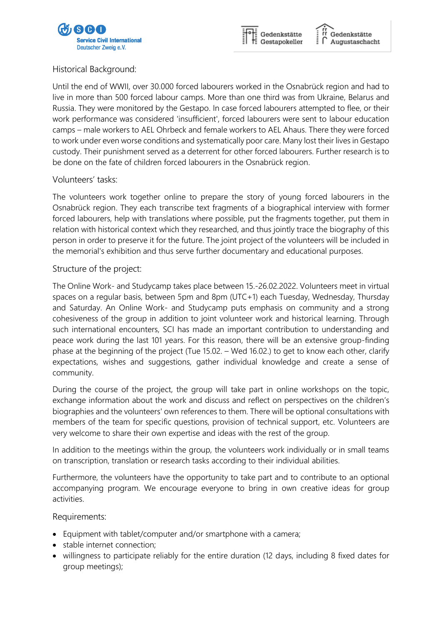



Gedenkstätte Augustaschacht

## Historical Background:

Until the end of WWII, over 30.000 forced labourers worked in the Osnabrück region and had to live in more than 500 forced labour camps. More than one third was from Ukraine, Belarus and Russia. They were monitored by the Gestapo. In case forced labourers attempted to flee, or their work performance was considered 'insufficient', forced labourers were sent to labour education camps – male workers to AEL Ohrbeck and female workers to AEL Ahaus. There they were forced to work under even worse conditions and systematically poor care. Many lost their lives in Gestapo custody. Their punishment served as a deterrent for other forced labourers. Further research is to be done on the fate of children forced labourers in the Osnabrück region.

### Volunteers' tasks:

The volunteers work together online to prepare the story of young forced labourers in the Osnabrück region. They each transcribe text fragments of a biographical interview with former forced labourers, help with translations where possible, put the fragments together, put them in relation with historical context which they researched, and thus jointly trace the biography of this person in order to preserve it for the future. The joint project of the volunteers will be included in the memorial's exhibition and thus serve further documentary and educational purposes.

### Structure of the project:

The Online Work- and Studycamp takes place between 15.-26.02.2022. Volunteers meet in virtual spaces on a regular basis, between 5pm and 8pm (UTC+1) each Tuesday, Wednesday, Thursday and Saturday. An Online Work- and Studycamp puts emphasis on community and a strong cohesiveness of the group in addition to joint volunteer work and historical learning. Through such international encounters, SCI has made an important contribution to understanding and peace work during the last 101 years. For this reason, there will be an extensive group-finding phase at the beginning of the project (Tue 15.02. – Wed 16.02.) to get to know each other, clarify expectations, wishes and suggestions, gather individual knowledge and create a sense of community.

During the course of the project, the group will take part in online workshops on the topic, exchange information about the work and discuss and reflect on perspectives on the children's biographies and the volunteers' own references to them. There will be optional consultations with members of the team for specific questions, provision of technical support, etc. Volunteers are very welcome to share their own expertise and ideas with the rest of the group.

In addition to the meetings within the group, the volunteers work individually or in small teams on transcription, translation or research tasks according to their individual abilities.

Furthermore, the volunteers have the opportunity to take part and to contribute to an optional accompanying program. We encourage everyone to bring in own creative ideas for group activities.

#### Requirements:

- Equipment with tablet/computer and/or smartphone with a camera;
- stable internet connection;
- willingness to participate reliably for the entire duration (12 days, including 8 fixed dates for group meetings);